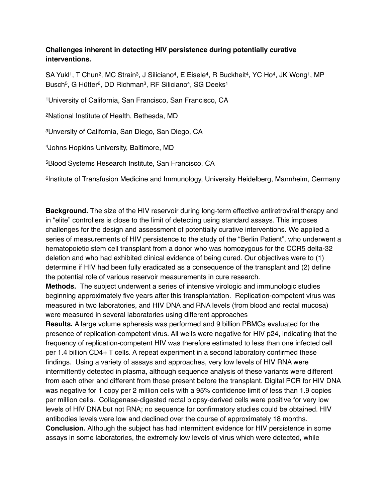## **Challenges inherent in detecting HIV persistence during potentially curative interventions.**

SA Yukl<sup>1</sup>, T Chun<sup>2</sup>, MC Strain<sup>3</sup>, J Siliciano<sup>4</sup>, E Eisele<sup>4</sup>, R Buckheit<sup>4</sup>, YC Ho<sup>4</sup>, JK Wong<sup>1</sup>, MP Busch<sup>5</sup>, G Hütter<sup>6</sup>, DD Richman<sup>3</sup>, RF Siliciano<sup>4</sup>, SG Deeks<sup>1</sup>

1University of California, San Francisco, San Francisco, CA

2National Institute of Health, Bethesda, MD

3Unversity of California, San Diego, San Diego, CA

4Johns Hopkins University, Baltimore, MD

5Blood Systems Research Institute, San Francisco, CA

6Institute of Transfusion Medicine and Immunology, University Heidelberg, Mannheim, Germany

**Background.** The size of the HIV reservoir during long-term effective antiretroviral therapy and in "elite" controllers is close to the limit of detecting using standard assays. This imposes challenges for the design and assessment of potentially curative interventions. We applied a series of measurements of HIV persistence to the study of the "Berlin Patient", who underwent a hematopoietic stem cell transplant from a donor who was homozygous for the CCR5 delta-32 deletion and who had exhibited clinical evidence of being cured. Our objectives were to (1) determine if HIV had been fully eradicated as a consequence of the transplant and (2) define the potential role of various reservoir measurements in cure research.

**Methods.** The subject underwent a series of intensive virologic and immunologic studies beginning approximately five years after this transplantation. Replication-competent virus was measured in two laboratories, and HIV DNA and RNA levels (from blood and rectal mucosa) were measured in several laboratories using different approaches

**Results.** A large volume apheresis was performed and 9 billion PBMCs evaluated for the presence of replication-competent virus. All wells were negative for HIV p24, indicating that the frequency of replication-competent HIV was therefore estimated to less than one infected cell per 1.4 billion CD4+ T cells. A repeat experiment in a second laboratory confirmed these findings. Using a variety of assays and approaches, very low levels of HIV RNA were intermittently detected in plasma, although sequence analysis of these variants were different from each other and different from those present before the transplant. Digital PCR for HIV DNA was negative for 1 copy per 2 million cells with a 95% confidence limit of less than 1.9 copies per million cells. Collagenase-digested rectal biopsy-derived cells were positive for very low levels of HIV DNA but not RNA; no sequence for confirmatory studies could be obtained. HIV antibodies levels were low and declined over the course of approximately 18 months. **Conclusion.** Although the subject has had intermittent evidence for HIV persistence in some assays in some laboratories, the extremely low levels of virus which were detected, while